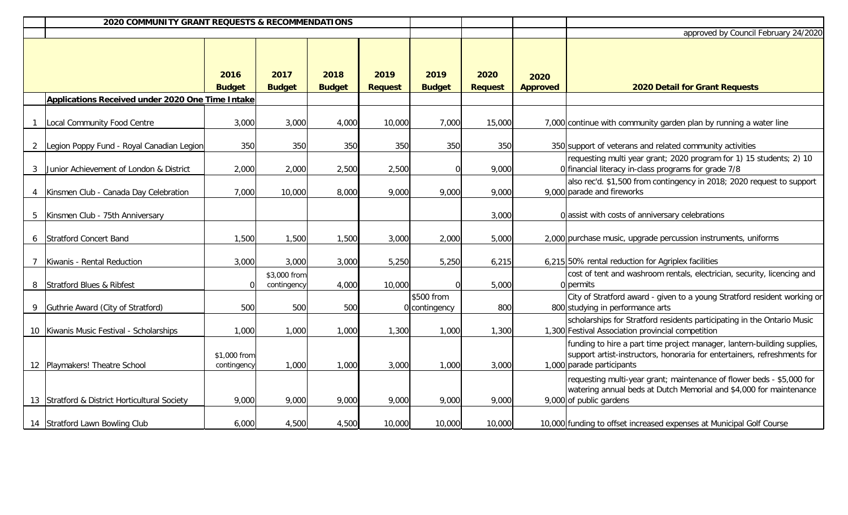|              | 2020 COMMUNITY GRANT REQUESTS & RECOMMENDATIONS         |                             |                             |               |                |                             |                                      |                 |                                                                                                                                                                                  |
|--------------|---------------------------------------------------------|-----------------------------|-----------------------------|---------------|----------------|-----------------------------|--------------------------------------|-----------------|----------------------------------------------------------------------------------------------------------------------------------------------------------------------------------|
|              |                                                         |                             |                             |               |                |                             | approved by Council February 24/2020 |                 |                                                                                                                                                                                  |
|              |                                                         | 2016                        | 2017                        | 2018          | 2019           | 2019                        | 2020                                 | 2020            |                                                                                                                                                                                  |
|              |                                                         | <b>Budget</b>               | <b>Budget</b>               | <b>Budget</b> | <b>Request</b> | <b>Budget</b>               | <b>Request</b>                       | <b>Approved</b> | <b>2020 Detail for Grant Requests</b>                                                                                                                                            |
|              | <b>Applications Received under 2020 One Time Intake</b> |                             |                             |               |                |                             |                                      |                 |                                                                                                                                                                                  |
|              | Local Community Food Centre                             | 3,000                       | 3,000                       | 4,000         | 10,000         | 7,000                       | 15,000                               |                 | 7,000 continue with community garden plan by running a water line                                                                                                                |
| $\mathbf{2}$ | Legion Poppy Fund - Royal Canadian Legion               | 350                         | 350                         | 350           | 350            | 350                         | 350                                  |                 | 350 support of veterans and related community activities                                                                                                                         |
|              | 3 Junior Achievement of London & District               | 2,000                       | 2,000                       | 2,500         | 2,500          |                             | 9,000                                |                 | requesting multi year grant; 2020 program for 1) 15 students; 2) 10<br>0 financial literacy in-class programs for grade 7/8                                                      |
|              | 4   Kinsmen Club - Canada Day Celebration               | 7,000                       | 10,000                      | 8,000         | 9,000          | 9,000                       | 9,000                                |                 | also rec'd. \$1,500 from contingency in 2018; 2020 request to support<br>9,000 parade and fireworks                                                                              |
| 5            | Kinsmen Club - 75th Anniversary                         |                             |                             |               |                |                             | 3,000                                |                 | 0 assist with costs of anniversary celebrations                                                                                                                                  |
|              | 6 Stratford Concert Band                                | 1,500                       | 1,500                       | 1,500         | 3,000          | 2,000                       | 5,000                                |                 | 2,000 purchase music, upgrade percussion instruments, uniforms                                                                                                                   |
|              | Kiwanis - Rental Reduction                              | 3,000                       | 3,000                       | 3,000         | 5,250          | 5,250                       | 6,215                                |                 | 6,215 50% rental reduction for Agriplex facilities                                                                                                                               |
| 8            | Stratford Blues & Ribfest                               |                             | \$3,000 from<br>contingency | 4,000         | 10,000         |                             | 5,000                                |                 | cost of tent and washroom rentals, electrician, security, licencing and<br>0 permits                                                                                             |
|              | Guthrie Award (City of Stratford)                       | 500                         | 500                         | 500           |                | \$500 from<br>0 contingency | 800                                  |                 | City of Stratford award - given to a young Stratford resident working or<br>800 studying in performance arts                                                                     |
|              | 10 Kiwanis Music Festival - Scholarships                | 1,000                       | 1,000                       | 1,000         | 1,300          | 1,000                       | 1,300                                |                 | scholarships for Stratford residents participating in the Ontario Music<br>1,300 Festival Association provincial competition                                                     |
|              | 12 Playmakers! Theatre School                           | \$1,000 from<br>contingency | 1,000                       | 1,000         | 3,000          | 1,000                       | 3,000                                |                 | funding to hire a part time project manager, lantern-building supplies,<br>support artist-instructors, honoraria for entertainers, refreshments for<br>1,000 parade participants |
|              | 13 Stratford & District Horticultural Society           | 9,000                       | 9,000                       | 9,000         | 9,000          | 9,000                       | 9,000                                |                 | requesting multi-year grant; maintenance of flower beds - \$5,000 for<br>watering annual beds at Dutch Memorial and \$4,000 for maintenance<br>9,000 of public gardens           |
|              | 14 Stratford Lawn Bowling Club                          | 6,000                       | 4,500                       | 4,500         | 10,000         | 10,000                      | 10,000                               |                 | 10,000 funding to offset increased expenses at Municipal Golf Course                                                                                                             |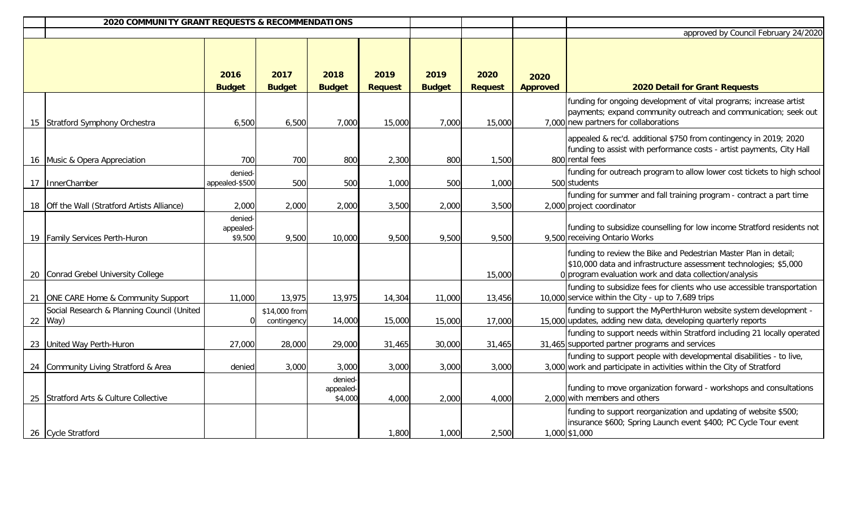| 2020 COMMUNITY GRANT REQUESTS & RECOMMENDATIONS         |                                 |                              |                                 |                        |                       |                        |                         |                                                                                                                                                                                                 |
|---------------------------------------------------------|---------------------------------|------------------------------|---------------------------------|------------------------|-----------------------|------------------------|-------------------------|-------------------------------------------------------------------------------------------------------------------------------------------------------------------------------------------------|
|                                                         |                                 |                              |                                 |                        |                       |                        |                         | approved by Council February 24/2020                                                                                                                                                            |
|                                                         | 2016<br><b>Budget</b>           | 2017<br><b>Budget</b>        | 2018<br><b>Budget</b>           | 2019<br><b>Request</b> | 2019<br><b>Budget</b> | 2020<br><b>Request</b> | 2020<br><b>Approved</b> | 2020 Detail for Grant Requests                                                                                                                                                                  |
| 15 Stratford Symphony Orchestra                         | 6,500                           | 6,500                        | 7,000                           | 15,000                 | 7,000                 | 15,000                 |                         | funding for ongoing development of vital programs; increase artist<br>payments; expand community outreach and communication; seek out<br>7,000 new partners for collaborations                  |
| 16 Music & Opera Appreciation                           | 700                             | 700                          | 800                             | 2,300                  | 800                   | 1,500                  |                         | appealed & rec'd. additional \$750 from contingency in 2019; 2020<br>funding to assist with performance costs - artist payments, City Hall<br>800 rental fees                                   |
| 17   InnerChamber                                       | denied-<br>appealed-\$500       | 500                          | 500                             | 1,000                  | 500                   | 1,000                  |                         | funding for outreach program to allow lower cost tickets to high school<br>500 students                                                                                                         |
| 18 Off the Wall (Stratford Artists Alliance)            | 2,000                           | 2,000                        | 2,000                           | 3,500                  | 2,000                 | 3,500                  |                         | funding for summer and fall training program - contract a part time<br>2,000 project coordinator                                                                                                |
| 19   Family Services Perth-Huron                        | denied-<br>appealed-<br>\$9,500 | 9,500                        | 10,000                          | 9,500                  | 9,500                 | 9,500                  |                         | funding to subsidize counselling for low income Stratford residents not<br>9,500 receiving Ontario Works                                                                                        |
| 20 Conrad Grebel University College                     |                                 |                              |                                 |                        |                       | 15,000                 |                         | funding to review the Bike and Pedestrian Master Plan in detail;<br>\$10,000 data and infrastructure assessment technologies; \$5,000<br>0 program evaluation work and data collection/analysis |
| 21 ONE CARE Home & Community Support                    | 11,000                          | 13,975                       | 13,975                          | 14,304                 | 11,000                | 13,456                 |                         | funding to subsidize fees for clients who use accessible transportation<br>10,000 service within the City - up to 7,689 trips                                                                   |
| Social Research & Planning Council (United<br>22   Way) | $\overline{0}$                  | \$14,000 from<br>contingency | 14,000                          | 15,000                 | 15,000                | 17,000                 |                         | funding to support the MyPerthHuron website system development -<br>15,000 updates, adding new data, developing quarterly reports                                                               |
| 23 United Way Perth-Huron                               | 27,000                          | 28,000                       | 29,000                          | 31,465                 | 30,000                | 31,465                 |                         | funding to support needs within Stratford including 21 locally operated<br>31,465 supported partner programs and services                                                                       |
| 24 Community Living Stratford & Area                    | denied                          | 3,000                        | 3,000                           | 3,000                  | 3,000                 | 3,000                  |                         | funding to support people with developmental disabilities - to live,<br>3,000 work and participate in activities within the City of Stratford                                                   |
| 25 Stratford Arts & Culture Collective                  |                                 |                              | denied-<br>appealed-<br>\$4,000 | 4,000                  | 2,000                 | 4,000                  |                         | funding to move organization forward - workshops and consultations<br>2,000 with members and others                                                                                             |
| 26 Cycle Stratford                                      |                                 |                              |                                 | 1,800                  | 1,000                 | 2,500                  |                         | funding to support reorganization and updating of website \$500;<br>insurance \$600; Spring Launch event \$400; PC Cycle Tour event<br>1,000 \$1,000                                            |